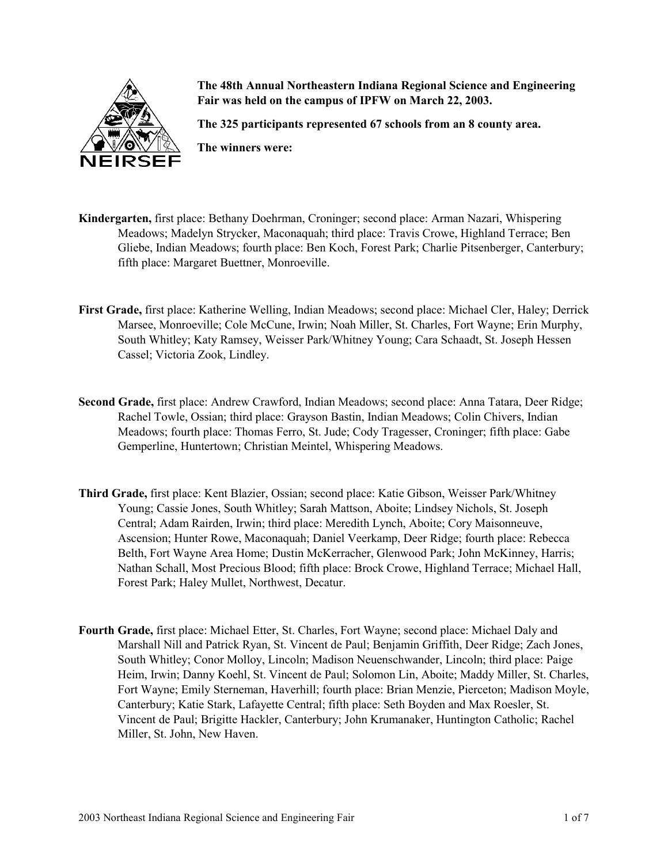

**The 48th Annual Northeastern Indiana Regional Science and Engineering Fair was held on the campus of IPFW on March 22, 2003.**

**The 325 participants represented 67 schools from an 8 county area.**

**The winners were:**

- **Kindergarten,** first place: Bethany Doehrman, Croninger; second place: Arman Nazari, Whispering Meadows; Madelyn Strycker, Maconaquah; third place: Travis Crowe, Highland Terrace; Ben Gliebe, Indian Meadows; fourth place: Ben Koch, Forest Park; Charlie Pitsenberger, Canterbury; fifth place: Margaret Buettner, Monroeville.
- **First Grade,** first place: Katherine Welling, Indian Meadows; second place: Michael Cler, Haley; Derrick Marsee, Monroeville; Cole McCune, Irwin; Noah Miller, St. Charles, Fort Wayne; Erin Murphy, South Whitley; Katy Ramsey, Weisser Park/Whitney Young; Cara Schaadt, St. Joseph Hessen Cassel; Victoria Zook, Lindley.
- **Second Grade,** first place: Andrew Crawford, Indian Meadows; second place: Anna Tatara, Deer Ridge; Rachel Towle, Ossian; third place: Grayson Bastin, Indian Meadows; Colin Chivers, Indian Meadows; fourth place: Thomas Ferro, St. Jude; Cody Tragesser, Croninger; fifth place: Gabe Gemperline, Huntertown; Christian Meintel, Whispering Meadows.
- **Third Grade,** first place: Kent Blazier, Ossian; second place: Katie Gibson, Weisser Park/Whitney Young; Cassie Jones, South Whitley; Sarah Mattson, Aboite; Lindsey Nichols, St. Joseph Central; Adam Rairden, Irwin; third place: Meredith Lynch, Aboite; Cory Maisonneuve, Ascension; Hunter Rowe, Maconaquah; Daniel Veerkamp, Deer Ridge; fourth place: Rebecca Belth, Fort Wayne Area Home; Dustin McKerracher, Glenwood Park; John McKinney, Harris; Nathan Schall, Most Precious Blood; fifth place: Brock Crowe, Highland Terrace; Michael Hall, Forest Park; Haley Mullet, Northwest, Decatur.
- **Fourth Grade,** first place: Michael Etter, St. Charles, Fort Wayne; second place: Michael Daly and Marshall Nill and Patrick Ryan, St. Vincent de Paul; Benjamin Griffith, Deer Ridge; Zach Jones, South Whitley; Conor Molloy, Lincoln; Madison Neuenschwander, Lincoln; third place: Paige Heim, Irwin; Danny Koehl, St. Vincent de Paul; Solomon Lin, Aboite; Maddy Miller, St. Charles, Fort Wayne; Emily Sterneman, Haverhill; fourth place: Brian Menzie, Pierceton; Madison Moyle, Canterbury; Katie Stark, Lafayette Central; fifth place: Seth Boyden and Max Roesler, St. Vincent de Paul; Brigitte Hackler, Canterbury; John Krumanaker, Huntington Catholic; Rachel Miller, St. John, New Haven.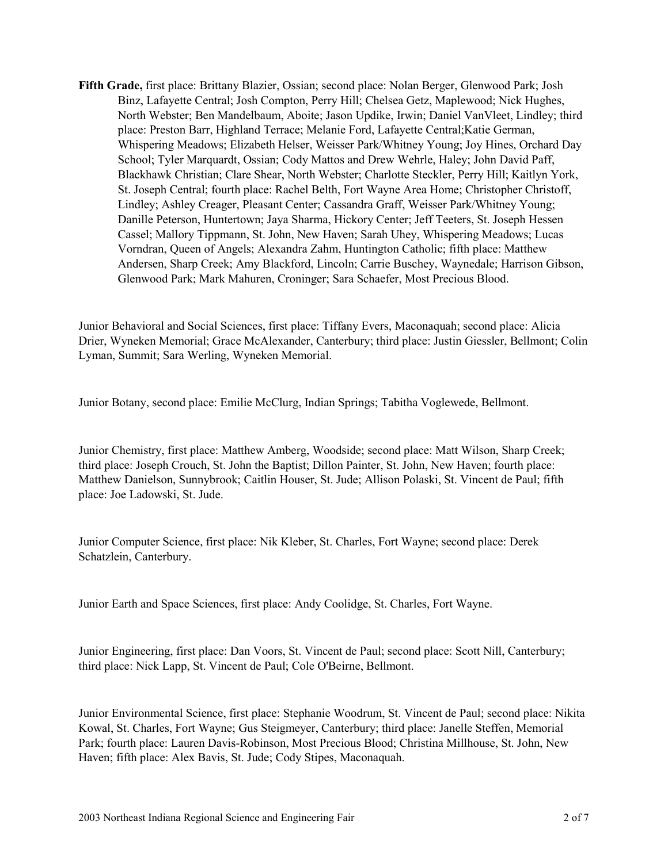**Fifth Grade,** first place: Brittany Blazier, Ossian; second place: Nolan Berger, Glenwood Park; Josh Binz, Lafayette Central; Josh Compton, Perry Hill; Chelsea Getz, Maplewood; Nick Hughes, North Webster; Ben Mandelbaum, Aboite; Jason Updike, Irwin; Daniel VanVleet, Lindley; third place: Preston Barr, Highland Terrace; Melanie Ford, Lafayette Central;Katie German, Whispering Meadows; Elizabeth Helser, Weisser Park/Whitney Young; Joy Hines, Orchard Day School; Tyler Marquardt, Ossian; Cody Mattos and Drew Wehrle, Haley; John David Paff, Blackhawk Christian; Clare Shear, North Webster; Charlotte Steckler, Perry Hill; Kaitlyn York, St. Joseph Central; fourth place: Rachel Belth, Fort Wayne Area Home; Christopher Christoff, Lindley; Ashley Creager, Pleasant Center; Cassandra Graff, Weisser Park/Whitney Young; Danille Peterson, Huntertown; Jaya Sharma, Hickory Center; Jeff Teeters, St. Joseph Hessen Cassel; Mallory Tippmann, St. John, New Haven; Sarah Uhey, Whispering Meadows; Lucas Vorndran, Queen of Angels; Alexandra Zahm, Huntington Catholic; fifth place: Matthew Andersen, Sharp Creek; Amy Blackford, Lincoln; Carrie Buschey, Waynedale; Harrison Gibson, Glenwood Park; Mark Mahuren, Croninger; Sara Schaefer, Most Precious Blood.

Junior Behavioral and Social Sciences, first place: Tiffany Evers, Maconaquah; second place: Alicia Drier, Wyneken Memorial; Grace McAlexander, Canterbury; third place: Justin Giessler, Bellmont; Colin Lyman, Summit; Sara Werling, Wyneken Memorial.

Junior Botany, second place: Emilie McClurg, Indian Springs; Tabitha Voglewede, Bellmont.

Junior Chemistry, first place: Matthew Amberg, Woodside; second place: Matt Wilson, Sharp Creek; third place: Joseph Crouch, St. John the Baptist; Dillon Painter, St. John, New Haven; fourth place: Matthew Danielson, Sunnybrook; Caitlin Houser, St. Jude; Allison Polaski, St. Vincent de Paul; fifth place: Joe Ladowski, St. Jude.

Junior Computer Science, first place: Nik Kleber, St. Charles, Fort Wayne; second place: Derek Schatzlein, Canterbury.

Junior Earth and Space Sciences, first place: Andy Coolidge, St. Charles, Fort Wayne.

Junior Engineering, first place: Dan Voors, St. Vincent de Paul; second place: Scott Nill, Canterbury; third place: Nick Lapp, St. Vincent de Paul; Cole O'Beirne, Bellmont.

Junior Environmental Science, first place: Stephanie Woodrum, St. Vincent de Paul; second place: Nikita Kowal, St. Charles, Fort Wayne; Gus Steigmeyer, Canterbury; third place: Janelle Steffen, Memorial Park; fourth place: Lauren Davis-Robinson, Most Precious Blood; Christina Millhouse, St. John, New Haven; fifth place: Alex Bavis, St. Jude; Cody Stipes, Maconaquah.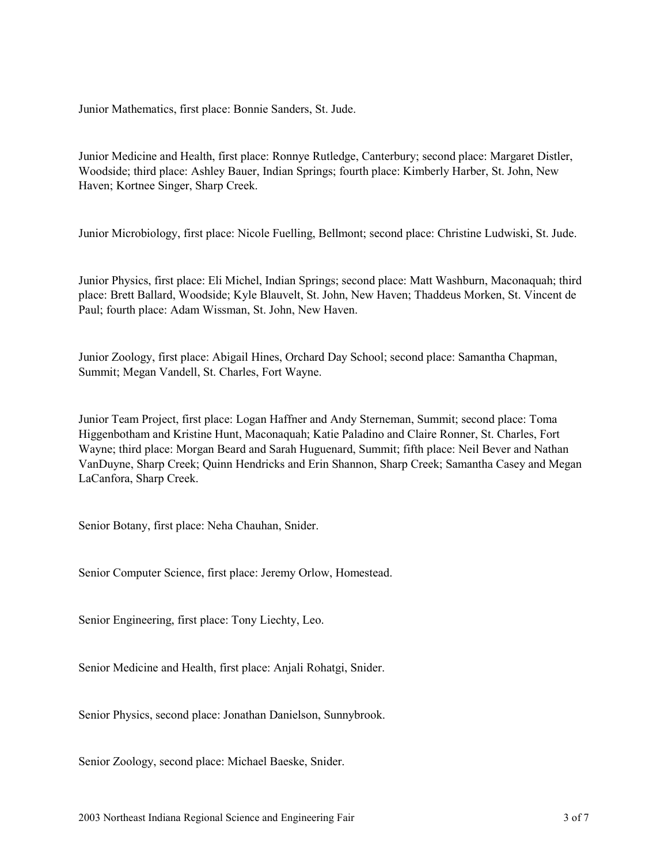Junior Mathematics, first place: Bonnie Sanders, St. Jude.

Junior Medicine and Health, first place: Ronnye Rutledge, Canterbury; second place: Margaret Distler, Woodside; third place: Ashley Bauer, Indian Springs; fourth place: Kimberly Harber, St. John, New Haven; Kortnee Singer, Sharp Creek.

Junior Microbiology, first place: Nicole Fuelling, Bellmont; second place: Christine Ludwiski, St. Jude.

Junior Physics, first place: Eli Michel, Indian Springs; second place: Matt Washburn, Maconaquah; third place: Brett Ballard, Woodside; Kyle Blauvelt, St. John, New Haven; Thaddeus Morken, St. Vincent de Paul; fourth place: Adam Wissman, St. John, New Haven.

Junior Zoology, first place: Abigail Hines, Orchard Day School; second place: Samantha Chapman, Summit; Megan Vandell, St. Charles, Fort Wayne.

Junior Team Project, first place: Logan Haffner and Andy Sterneman, Summit; second place: Toma Higgenbotham and Kristine Hunt, Maconaquah; Katie Paladino and Claire Ronner, St. Charles, Fort Wayne; third place: Morgan Beard and Sarah Huguenard, Summit; fifth place: Neil Bever and Nathan VanDuyne, Sharp Creek; Quinn Hendricks and Erin Shannon, Sharp Creek; Samantha Casey and Megan LaCanfora, Sharp Creek.

Senior Botany, first place: Neha Chauhan, Snider.

Senior Computer Science, first place: Jeremy Orlow, Homestead.

Senior Engineering, first place: Tony Liechty, Leo.

Senior Medicine and Health, first place: Anjali Rohatgi, Snider.

Senior Physics, second place: Jonathan Danielson, Sunnybrook.

Senior Zoology, second place: Michael Baeske, Snider.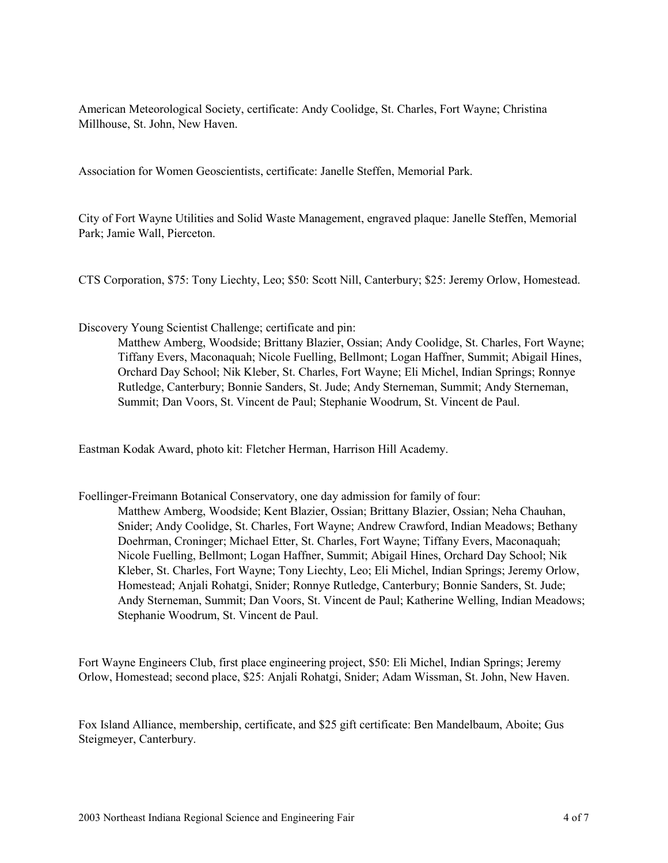American Meteorological Society, certificate: Andy Coolidge, St. Charles, Fort Wayne; Christina Millhouse, St. John, New Haven.

Association for Women Geoscientists, certificate: Janelle Steffen, Memorial Park.

City of Fort Wayne Utilities and Solid Waste Management, engraved plaque: Janelle Steffen, Memorial Park; Jamie Wall, Pierceton.

CTS Corporation, \$75: Tony Liechty, Leo; \$50: Scott Nill, Canterbury; \$25: Jeremy Orlow, Homestead.

Discovery Young Scientist Challenge; certificate and pin:

Matthew Amberg, Woodside; Brittany Blazier, Ossian; Andy Coolidge, St. Charles, Fort Wayne; Tiffany Evers, Maconaquah; Nicole Fuelling, Bellmont; Logan Haffner, Summit; Abigail Hines, Orchard Day School; Nik Kleber, St. Charles, Fort Wayne; Eli Michel, Indian Springs; Ronnye Rutledge, Canterbury; Bonnie Sanders, St. Jude; Andy Sterneman, Summit; Andy Sterneman, Summit; Dan Voors, St. Vincent de Paul; Stephanie Woodrum, St. Vincent de Paul.

Eastman Kodak Award, photo kit: Fletcher Herman, Harrison Hill Academy.

Foellinger-Freimann Botanical Conservatory, one day admission for family of four: Matthew Amberg, Woodside; Kent Blazier, Ossian; Brittany Blazier, Ossian; Neha Chauhan, Snider; Andy Coolidge, St. Charles, Fort Wayne; Andrew Crawford, Indian Meadows; Bethany Doehrman, Croninger; Michael Etter, St. Charles, Fort Wayne; Tiffany Evers, Maconaquah; Nicole Fuelling, Bellmont; Logan Haffner, Summit; Abigail Hines, Orchard Day School; Nik Kleber, St. Charles, Fort Wayne; Tony Liechty, Leo; Eli Michel, Indian Springs; Jeremy Orlow, Homestead; Anjali Rohatgi, Snider; Ronnye Rutledge, Canterbury; Bonnie Sanders, St. Jude; Andy Sterneman, Summit; Dan Voors, St. Vincent de Paul; Katherine Welling, Indian Meadows; Stephanie Woodrum, St. Vincent de Paul.

Fort Wayne Engineers Club, first place engineering project, \$50: Eli Michel, Indian Springs; Jeremy Orlow, Homestead; second place, \$25: Anjali Rohatgi, Snider; Adam Wissman, St. John, New Haven.

Fox Island Alliance, membership, certificate, and \$25 gift certificate: Ben Mandelbaum, Aboite; Gus Steigmeyer, Canterbury.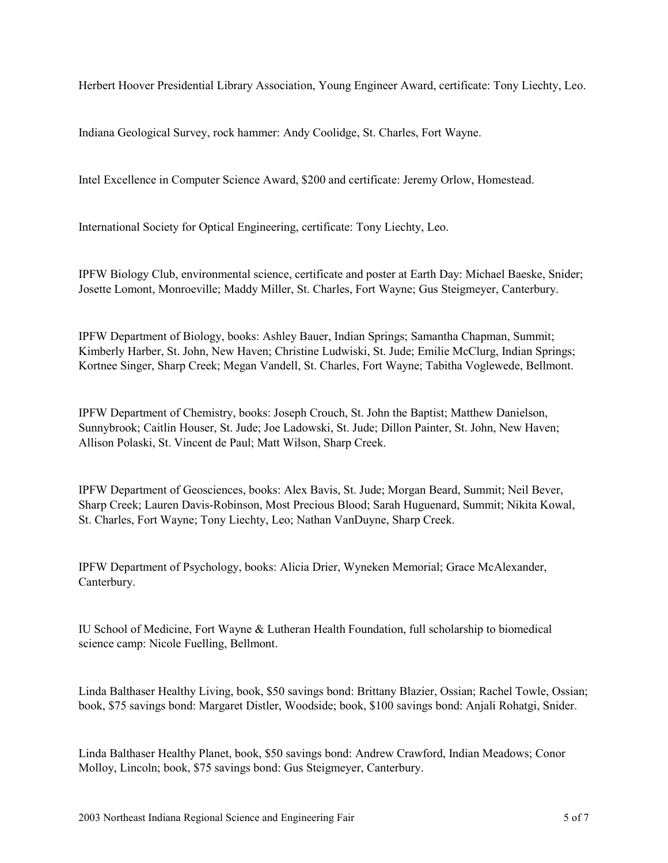Herbert Hoover Presidential Library Association, Young Engineer Award, certificate: Tony Liechty, Leo.

Indiana Geological Survey, rock hammer: Andy Coolidge, St. Charles, Fort Wayne.

Intel Excellence in Computer Science Award, \$200 and certificate: Jeremy Orlow, Homestead.

International Society for Optical Engineering, certificate: Tony Liechty, Leo.

IPFW Biology Club, environmental science, certificate and poster at Earth Day: Michael Baeske, Snider; Josette Lomont, Monroeville; Maddy Miller, St. Charles, Fort Wayne; Gus Steigmeyer, Canterbury.

IPFW Department of Biology, books: Ashley Bauer, Indian Springs; Samantha Chapman, Summit; Kimberly Harber, St. John, New Haven; Christine Ludwiski, St. Jude; Emilie McClurg, Indian Springs; Kortnee Singer, Sharp Creek; Megan Vandell, St. Charles, Fort Wayne; Tabitha Voglewede, Bellmont.

IPFW Department of Chemistry, books: Joseph Crouch, St. John the Baptist; Matthew Danielson, Sunnybrook; Caitlin Houser, St. Jude; Joe Ladowski, St. Jude; Dillon Painter, St. John, New Haven; Allison Polaski, St. Vincent de Paul; Matt Wilson, Sharp Creek.

IPFW Department of Geosciences, books: Alex Bavis, St. Jude; Morgan Beard, Summit; Neil Bever, Sharp Creek; Lauren Davis-Robinson, Most Precious Blood; Sarah Huguenard, Summit; Nikita Kowal, St. Charles, Fort Wayne; Tony Liechty, Leo; Nathan VanDuyne, Sharp Creek.

IPFW Department of Psychology, books: Alicia Drier, Wyneken Memorial; Grace McAlexander, Canterbury.

IU School of Medicine, Fort Wayne & Lutheran Health Foundation, full scholarship to biomedical science camp: Nicole Fuelling, Bellmont.

Linda Balthaser Healthy Living, book, \$50 savings bond: Brittany Blazier, Ossian; Rachel Towle, Ossian; book, \$75 savings bond: Margaret Distler, Woodside; book, \$100 savings bond: Anjali Rohatgi, Snider.

Linda Balthaser Healthy Planet, book, \$50 savings bond: Andrew Crawford, Indian Meadows; Conor Molloy, Lincoln; book, \$75 savings bond: Gus Steigmeyer, Canterbury.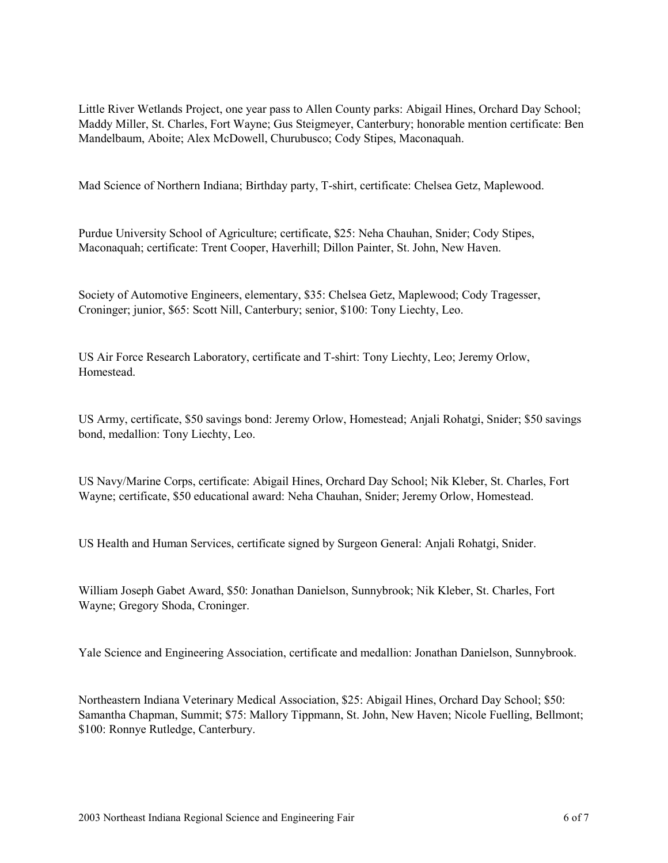Little River Wetlands Project, one year pass to Allen County parks: Abigail Hines, Orchard Day School; Maddy Miller, St. Charles, Fort Wayne; Gus Steigmeyer, Canterbury; honorable mention certificate: Ben Mandelbaum, Aboite; Alex McDowell, Churubusco; Cody Stipes, Maconaquah.

Mad Science of Northern Indiana; Birthday party, T-shirt, certificate: Chelsea Getz, Maplewood.

Purdue University School of Agriculture; certificate, \$25: Neha Chauhan, Snider; Cody Stipes, Maconaquah; certificate: Trent Cooper, Haverhill; Dillon Painter, St. John, New Haven.

Society of Automotive Engineers, elementary, \$35: Chelsea Getz, Maplewood; Cody Tragesser, Croninger; junior, \$65: Scott Nill, Canterbury; senior, \$100: Tony Liechty, Leo.

US Air Force Research Laboratory, certificate and T-shirt: Tony Liechty, Leo; Jeremy Orlow, Homestead.

US Army, certificate, \$50 savings bond: Jeremy Orlow, Homestead; Anjali Rohatgi, Snider; \$50 savings bond, medallion: Tony Liechty, Leo.

US Navy/Marine Corps, certificate: Abigail Hines, Orchard Day School; Nik Kleber, St. Charles, Fort Wayne; certificate, \$50 educational award: Neha Chauhan, Snider; Jeremy Orlow, Homestead.

US Health and Human Services, certificate signed by Surgeon General: Anjali Rohatgi, Snider.

William Joseph Gabet Award, \$50: Jonathan Danielson, Sunnybrook; Nik Kleber, St. Charles, Fort Wayne; Gregory Shoda, Croninger.

Yale Science and Engineering Association, certificate and medallion: Jonathan Danielson, Sunnybrook.

Northeastern Indiana Veterinary Medical Association, \$25: Abigail Hines, Orchard Day School; \$50: Samantha Chapman, Summit; \$75: Mallory Tippmann, St. John, New Haven; Nicole Fuelling, Bellmont; \$100: Ronnye Rutledge, Canterbury.